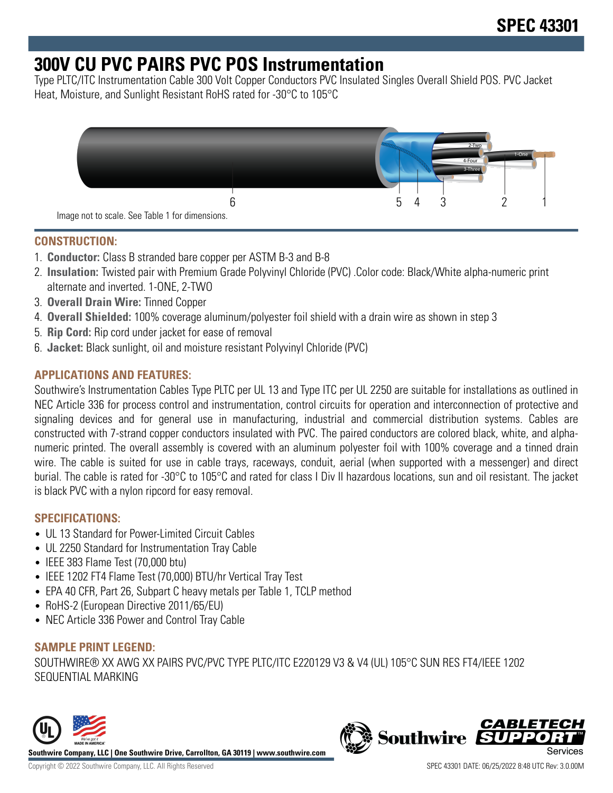## **300V CU PVC PAIRS PVC POS Instrumentation**

Type PLTC/ITC Instrumentation Cable 300 Volt Copper Conductors PVC Insulated Singles Overall Shield POS. PVC Jacket Heat, Moisture, and Sunlight Resistant RoHS rated for -30°C to 105°C



## **CONSTRUCTION:**

- 1. **Conductor:** Class B stranded bare copper per ASTM B-3 and B-8
- 2. **Insulation:** Twisted pair with Premium Grade Polyvinyl Chloride (PVC) .Color code: Black/White alpha-numeric print alternate and inverted. 1-ONE, 2-TWO
- 3. **Overall Drain Wire:** Tinned Copper
- 4. **Overall Shielded:** 100% coverage aluminum/polyester foil shield with a drain wire as shown in step 3
- 5. **Rip Cord:** Rip cord under jacket for ease of removal
- 6. **Jacket:** Black sunlight, oil and moisture resistant Polyvinyl Chloride (PVC)

## **APPLICATIONS AND FEATURES:**

Southwire's Instrumentation Cables Type PLTC per UL 13 and Type ITC per UL 2250 are suitable for installations as outlined in NEC Article 336 for process control and instrumentation, control circuits for operation and interconnection of protective and signaling devices and for general use in manufacturing, industrial and commercial distribution systems. Cables are constructed with 7-strand copper conductors insulated with PVC. The paired conductors are colored black, white, and alphanumeric printed. The overall assembly is covered with an aluminum polyester foil with 100% coverage and a tinned drain wire. The cable is suited for use in cable trays, raceways, conduit, aerial (when supported with a messenger) and direct burial. The cable is rated for -30°C to 105°C and rated for class I Div II hazardous locations, sun and oil resistant. The jacket is black PVC with a nylon ripcord for easy removal.

#### **SPECIFICATIONS:**

- UL 13 Standard for Power-Limited Circuit Cables
- UL 2250 Standard for Instrumentation Tray Cable
- IEEE 383 Flame Test (70,000 btu)
- IEEE 1202 FT4 Flame Test (70,000) BTU/hr Vertical Tray Test
- EPA 40 CFR, Part 26, Subpart C heavy metals per Table 1, TCLP method
- RoHS-2 (European Directive 2011/65/EU)
- NEC Article 336 Power and Control Tray Cable

#### **SAMPLE PRINT LEGEND:**

SOUTHWIRE® XX AWG XX PAIRS PVC/PVC TYPE PLTC/ITC E220129 V3 & V4 (UL) 105°C SUN RES FT4/IEEE 1202 SEQUENTIAL MARKING



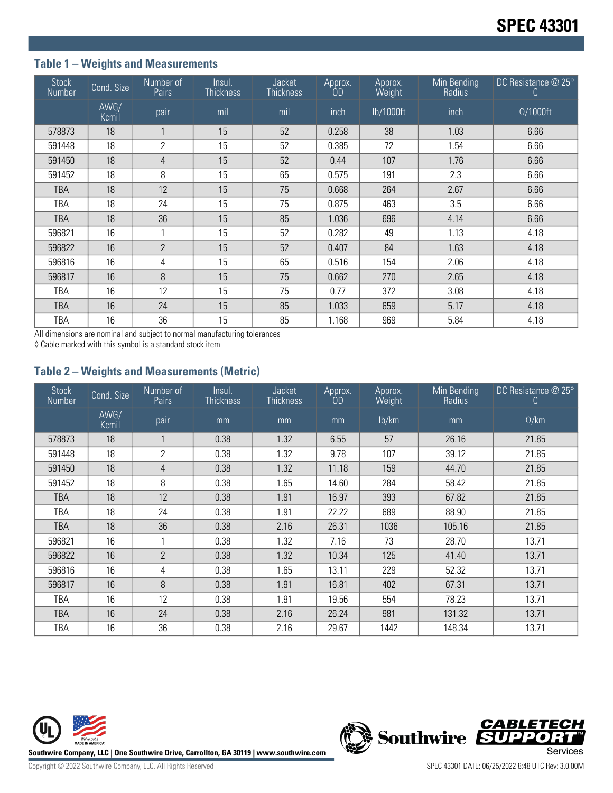## **Table 1 – Weights and Measurements**

| <b>Stock</b><br>Number | Cond. Size    | Number of<br>Pairs | Insul.<br><b>Thickness</b> | <b>Jacket</b><br><b>Thickness</b> | Approx.<br><b>OD</b> | Approx.<br>Weight | Min Bending<br>Radius | DC Resistance $@25°$<br>C. |
|------------------------|---------------|--------------------|----------------------------|-----------------------------------|----------------------|-------------------|-----------------------|----------------------------|
|                        | AWG/<br>Kcmil | pair               | mil                        | mil                               | inch                 | lb/1000ft         | inch                  | $\Omega/1000$ ft           |
| 578873                 | 18            | $\mathbf{A}$       | 15                         | 52                                | 0.258                | 38                | 1.03                  | 6.66                       |
| 591448                 | 18            | 2                  | 15                         | 52                                | 0.385                | 72                | 1.54                  | 6.66                       |
| 591450                 | 18            | 4                  | 15                         | 52                                | 0.44                 | 107               | 1.76                  | 6.66                       |
| 591452                 | 18            | 8                  | 15                         | 65                                | 0.575                | 191               | 2.3                   | 6.66                       |
| <b>TBA</b>             | 18            | 12                 | 15                         | 75                                | 0.668                | 264               | 2.67                  | 6.66                       |
| TBA                    | 18            | 24                 | 15                         | 75                                | 0.875                | 463               | 3.5                   | 6.66                       |
| <b>TBA</b>             | 18            | 36                 | 15                         | 85                                | 1.036                | 696               | 4.14                  | 6.66                       |
| 596821                 | 16            |                    | 15                         | 52                                | 0.282                | 49                | 1.13                  | 4.18                       |
| 596822                 | 16            | $\overline{2}$     | 15                         | 52                                | 0.407                | 84                | 1.63                  | 4.18                       |
| 596816                 | 16            | 4                  | 15                         | 65                                | 0.516                | 154               | 2.06                  | 4.18                       |
| 596817                 | 16            | 8                  | 15                         | 75                                | 0.662                | 270               | 2.65                  | 4.18                       |
| TBA                    | 16            | 12                 | 15                         | 75                                | 0.77                 | 372               | 3.08                  | 4.18                       |
| TBA                    | 16            | 24                 | 15                         | 85                                | 1.033                | 659               | 5.17                  | 4.18                       |
| TBA                    | 16            | 36                 | 15                         | 85                                | 1.168                | 969               | 5.84                  | 4.18                       |

All dimensions are nominal and subject to normal manufacturing tolerances

◊ Cable marked with this symbol is a standard stock item

## **Table 2 – Weights and Measurements (Metric)**

| <b>Stock</b><br>Number | Cond. Size    | Number of<br>Pairs | Insul.<br>Thickness | <b>Jacket</b><br><b>Thickness</b> | Approx.<br><b>OD</b> | Approx.<br>Weight | Min Bending<br>Radius | DC Resistance @ 25°<br>C. |
|------------------------|---------------|--------------------|---------------------|-----------------------------------|----------------------|-------------------|-----------------------|---------------------------|
|                        | AWG/<br>Kcmil | pair               | mm                  | mm                                | mm                   | lb/km             | mm                    | $\Omega$ /km              |
| 578873                 | 18            |                    | 0.38                | 1.32                              | 6.55                 | 57                | 26.16                 | 21.85                     |
| 591448                 | 18            | $\overline{2}$     | 0.38                | 1.32                              | 9.78                 | 107               | 39.12                 | 21.85                     |
| 591450                 | 18            | $\overline{4}$     | 0.38                | 1.32                              | 11.18                | 159               | 44.70                 | 21.85                     |
| 591452                 | 18            | 8                  | 0.38                | 1.65                              | 14.60                | 284               | 58.42                 | 21.85                     |
| <b>TBA</b>             | 18            | 12                 | 0.38                | 1.91                              | 16.97                | 393               | 67.82                 | 21.85                     |
| TBA                    | 18            | 24                 | 0.38                | 1.91                              | 22.22                | 689               | 88.90                 | 21.85                     |
| TBA                    | 18            | 36                 | 0.38                | 2.16                              | 26.31                | 1036              | 105.16                | 21.85                     |
| 596821                 | 16            |                    | 0.38                | 1.32                              | 7.16                 | 73                | 28.70                 | 13.71                     |
| 596822                 | 16            | $\overline{2}$     | 0.38                | 1.32                              | 10.34                | 125               | 41.40                 | 13.71                     |
| 596816                 | 16            | 4                  | 0.38                | 1.65                              | 13.11                | 229               | 52.32                 | 13.71                     |
| 596817                 | 16            | 8                  | 0.38                | 1.91                              | 16.81                | 402               | 67.31                 | 13.71                     |
| TBA                    | 16            | 12                 | 0.38                | 1.91                              | 19.56                | 554               | 78.23                 | 13.71                     |
| TBA                    | 16            | 24                 | 0.38                | 2.16                              | 26.24                | 981               | 131.32                | 13.71                     |
| TBA                    | 16            | 36                 | 0.38                | 2.16                              | 29.67                | 1442              | 148.34                | 13.71                     |